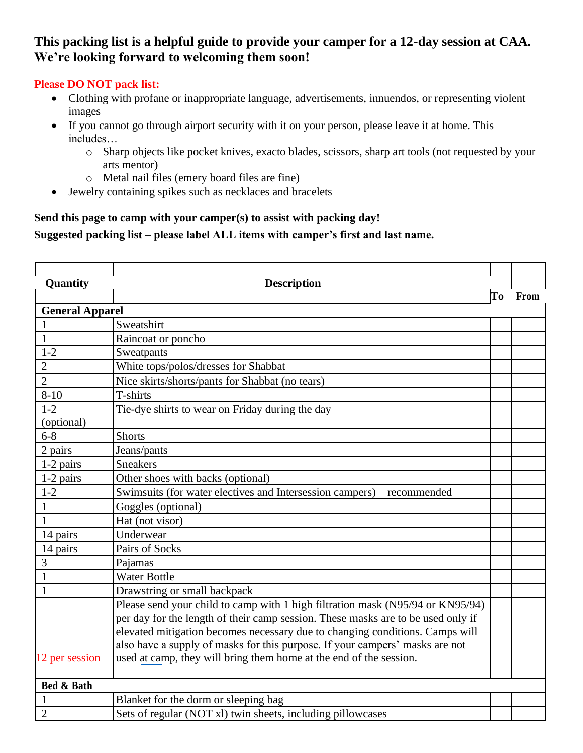## **This packing list is a helpful guide to provide your camper for a 12-day session at CAA. We're looking forward to welcoming them soon!**

### **Please DO NOT pack list:**

- Clothing with profane or inappropriate language, advertisements, innuendos, or representing violent images
- If you cannot go through airport security with it on your person, please leave it at home. This includes…
	- o Sharp objects like pocket knives, exacto blades, scissors, sharp art tools (not requested by your arts mentor)
	- o Metal nail files (emery board files are fine)
- Jewelry containing spikes such as necklaces and bracelets

## **Send this page to camp with your camper(s) to assist with packing day!**

### **Suggested packing list – please label ALL items with camper's first and last name.**

| Quantity               | <b>Description</b>                                                                                                                                                                                                                                                                                                                 | To | From |
|------------------------|------------------------------------------------------------------------------------------------------------------------------------------------------------------------------------------------------------------------------------------------------------------------------------------------------------------------------------|----|------|
| <b>General Apparel</b> |                                                                                                                                                                                                                                                                                                                                    |    |      |
|                        | Sweatshirt                                                                                                                                                                                                                                                                                                                         |    |      |
| 1                      | Raincoat or poncho                                                                                                                                                                                                                                                                                                                 |    |      |
| $1 - 2$                | Sweatpants                                                                                                                                                                                                                                                                                                                         |    |      |
| $\overline{2}$         | White tops/polos/dresses for Shabbat                                                                                                                                                                                                                                                                                               |    |      |
| $\overline{2}$         | Nice skirts/shorts/pants for Shabbat (no tears)                                                                                                                                                                                                                                                                                    |    |      |
| $8 - 10$               | T-shirts                                                                                                                                                                                                                                                                                                                           |    |      |
| $1 - 2$                | Tie-dye shirts to wear on Friday during the day                                                                                                                                                                                                                                                                                    |    |      |
| (optional)             |                                                                                                                                                                                                                                                                                                                                    |    |      |
| $6 - 8$                | <b>Shorts</b>                                                                                                                                                                                                                                                                                                                      |    |      |
| 2 pairs                | Jeans/pants                                                                                                                                                                                                                                                                                                                        |    |      |
| 1-2 pairs              | <b>Sneakers</b>                                                                                                                                                                                                                                                                                                                    |    |      |
| 1-2 pairs              | Other shoes with backs (optional)                                                                                                                                                                                                                                                                                                  |    |      |
| $1 - 2$                | Swimsuits (for water electives and Intersession campers) – recommended                                                                                                                                                                                                                                                             |    |      |
| $\mathbf{1}$           | Goggles (optional)                                                                                                                                                                                                                                                                                                                 |    |      |
| 1                      | Hat (not visor)                                                                                                                                                                                                                                                                                                                    |    |      |
| 14 pairs               | Underwear                                                                                                                                                                                                                                                                                                                          |    |      |
| 14 pairs               | Pairs of Socks                                                                                                                                                                                                                                                                                                                     |    |      |
| 3                      | Pajamas                                                                                                                                                                                                                                                                                                                            |    |      |
|                        | <b>Water Bottle</b>                                                                                                                                                                                                                                                                                                                |    |      |
|                        | Drawstring or small backpack                                                                                                                                                                                                                                                                                                       |    |      |
|                        | Please send your child to camp with 1 high filtration mask (N95/94 or KN95/94)<br>per day for the length of their camp session. These masks are to be used only if<br>elevated mitigation becomes necessary due to changing conditions. Camps will<br>also have a supply of masks for this purpose. If your campers' masks are not |    |      |
| 12 per session         | used at camp, they will bring them home at the end of the session.                                                                                                                                                                                                                                                                 |    |      |
|                        |                                                                                                                                                                                                                                                                                                                                    |    |      |
| Bed & Bath             |                                                                                                                                                                                                                                                                                                                                    |    |      |
|                        | Blanket for the dorm or sleeping bag                                                                                                                                                                                                                                                                                               |    |      |
| $\overline{2}$         | Sets of regular (NOT xl) twin sheets, including pillowcases                                                                                                                                                                                                                                                                        |    |      |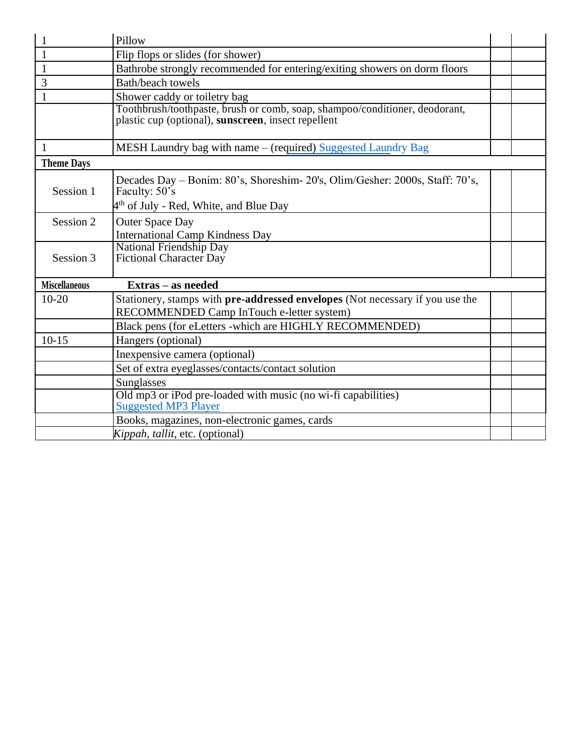| 1                    | Pillow                                                                                                                             |  |
|----------------------|------------------------------------------------------------------------------------------------------------------------------------|--|
| $\mathbf{1}$         | Flip flops or slides (for shower)                                                                                                  |  |
| $\mathbf{1}$         | Bathrobe strongly recommended for entering/exiting showers on dorm floors                                                          |  |
| 3                    | Bath/beach towels                                                                                                                  |  |
| 1                    | Shower caddy or toiletry bag                                                                                                       |  |
|                      | Toothbrush/toothpaste, brush or comb, soap, shampoo/conditioner, deodorant,<br>plastic cup (optional), sunscreen, insect repellent |  |
| $\mathbf{1}$         | MESH Laundry bag with name - (required) Suggested Laundry Bag                                                                      |  |
| <b>Theme Days</b>    |                                                                                                                                    |  |
| Session 1            | Decades Day – Bonim: 80's, Shoreshim- 20's, Olim/Gesher: 2000s, Staff: 70's,<br>Faculty: 50's                                      |  |
|                      | 4 <sup>th</sup> of July - Red, White, and Blue Day                                                                                 |  |
| Session 2            | <b>Outer Space Day</b><br><b>International Camp Kindness Day</b>                                                                   |  |
| Session 3            | National Friendship Day<br>Fictional Character Day                                                                                 |  |
| <b>Miscellaneous</b> | Extras - as needed                                                                                                                 |  |
| $10 - 20$            | Stationery, stamps with <b>pre-addressed envelopes</b> (Not necessary if you use the<br>RECOMMENDED Camp InTouch e-letter system)  |  |
|                      | Black pens (for eLetters -which are HIGHLY RECOMMENDED)                                                                            |  |
| $10 - 15$            | Hangers (optional)                                                                                                                 |  |
|                      | Inexpensive camera (optional)                                                                                                      |  |
|                      | Set of extra eyeglasses/contacts/contact solution                                                                                  |  |
|                      | <b>Sunglasses</b>                                                                                                                  |  |
|                      | Old mp3 or iPod pre-loaded with music (no wi-fi capabilities)<br><b>Suggested MP3 Player</b>                                       |  |
|                      | Books, magazines, non-electronic games, cards                                                                                      |  |
|                      | <i>Kippah, tallit, etc. (optional)</i>                                                                                             |  |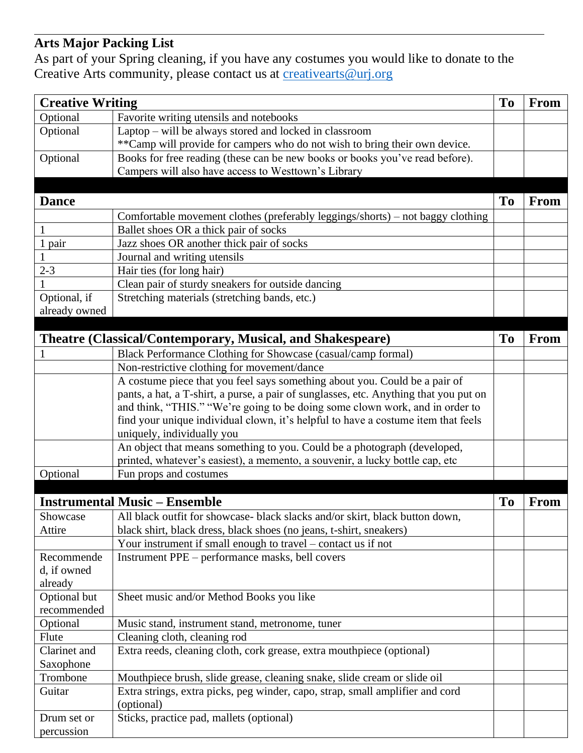# **Arts Major Packing List**

As part of your Spring cleaning, if you have any costumes you would like to donate to the Creative Arts community, please contact us at [creativearts@urj.org](mailto:creativearts@urj.org)

| <b>Creative Writing</b> |                                                                                                                                                          | T <sub>o</sub> | <b>From</b> |
|-------------------------|----------------------------------------------------------------------------------------------------------------------------------------------------------|----------------|-------------|
| Optional                | Favorite writing utensils and notebooks                                                                                                                  |                |             |
| Optional                | Laptop – will be always stored and locked in classroom                                                                                                   |                |             |
|                         | ** Camp will provide for campers who do not wish to bring their own device.                                                                              |                |             |
| Optional                | Books for free reading (these can be new books or books you've read before).                                                                             |                |             |
|                         | Campers will also have access to Westtown's Library                                                                                                      |                |             |
|                         |                                                                                                                                                          |                |             |
| <b>Dance</b>            |                                                                                                                                                          | T <sub>o</sub> | <b>From</b> |
|                         | Comfortable movement clothes (preferably leggings/shorts) – not baggy clothing                                                                           |                |             |
|                         | Ballet shoes OR a thick pair of socks                                                                                                                    |                |             |
| 1 pair                  | Jazz shoes OR another thick pair of socks                                                                                                                |                |             |
|                         | Journal and writing utensils                                                                                                                             |                |             |
| $2 - 3$                 | Hair ties (for long hair)                                                                                                                                |                |             |
|                         | Clean pair of sturdy sneakers for outside dancing                                                                                                        |                |             |
| Optional, if            | Stretching materials (stretching bands, etc.)                                                                                                            |                |             |
| already owned           |                                                                                                                                                          |                |             |
|                         |                                                                                                                                                          |                |             |
|                         |                                                                                                                                                          | <b>To</b>      | <b>From</b> |
|                         | Theatre (Classical/Contemporary, Musical, and Shakespeare)                                                                                               |                |             |
|                         | Black Performance Clothing for Showcase (casual/camp formal)                                                                                             |                |             |
|                         | Non-restrictive clothing for movement/dance                                                                                                              |                |             |
|                         | A costume piece that you feel says something about you. Could be a pair of                                                                               |                |             |
|                         | pants, a hat, a T-shirt, a purse, a pair of sunglasses, etc. Anything that you put on                                                                    |                |             |
|                         | and think, "THIS." "We're going to be doing some clown work, and in order to                                                                             |                |             |
|                         | find your unique individual clown, it's helpful to have a costume item that feels                                                                        |                |             |
|                         | uniquely, individually you                                                                                                                               |                |             |
|                         | An object that means something to you. Could be a photograph (developed,<br>printed, whatever's easiest), a memento, a souvenir, a lucky bottle cap, etc |                |             |
|                         | Fun props and costumes                                                                                                                                   |                |             |
| Optional                |                                                                                                                                                          |                |             |
|                         |                                                                                                                                                          |                |             |
|                         | <b>Instrumental Music – Ensemble</b>                                                                                                                     | T <sub>o</sub> | <b>From</b> |
| Showcase                | All black outfit for showcase- black slacks and/or skirt, black button down,                                                                             |                |             |
| Attire                  | black shirt, black dress, black shoes (no jeans, t-shirt, sneakers)                                                                                      |                |             |
|                         | Your instrument if small enough to travel – contact us if not                                                                                            |                |             |
| Recommende              | Instrument PPE - performance masks, bell covers                                                                                                          |                |             |
| d, if owned             |                                                                                                                                                          |                |             |
| already                 |                                                                                                                                                          |                |             |
| Optional but            | Sheet music and/or Method Books you like                                                                                                                 |                |             |
| recommended             |                                                                                                                                                          |                |             |
| Optional                | Music stand, instrument stand, metronome, tuner                                                                                                          |                |             |
| Flute                   | Cleaning cloth, cleaning rod                                                                                                                             |                |             |
| Clarinet and            | Extra reeds, cleaning cloth, cork grease, extra mouthpiece (optional)                                                                                    |                |             |
| Saxophone               |                                                                                                                                                          |                |             |
| Trombone                | Mouthpiece brush, slide grease, cleaning snake, slide cream or slide oil                                                                                 |                |             |
| Guitar                  | Extra strings, extra picks, peg winder, capo, strap, small amplifier and cord                                                                            |                |             |
|                         | (optional)                                                                                                                                               |                |             |
| Drum set or             | Sticks, practice pad, mallets (optional)                                                                                                                 |                |             |
| percussion              |                                                                                                                                                          |                |             |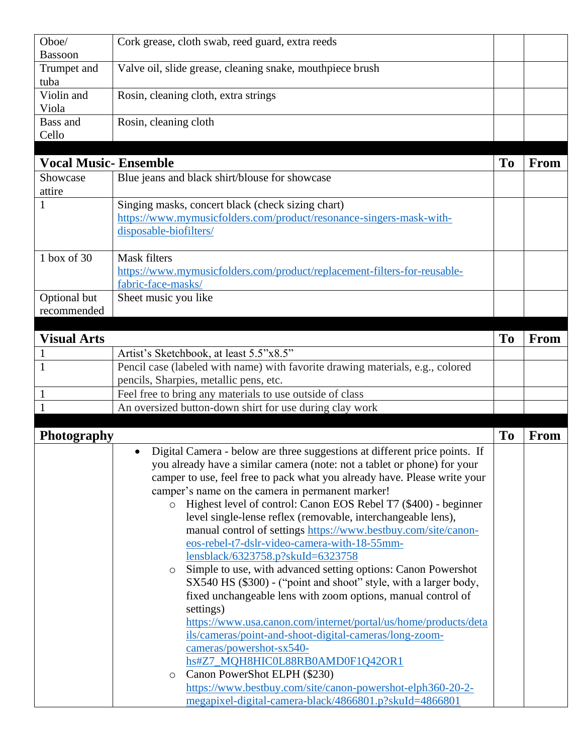| Oboe/                       | Cork grease, cloth swab, reed guard, extra reeds                                        |                |      |
|-----------------------------|-----------------------------------------------------------------------------------------|----------------|------|
| <b>Bassoon</b>              |                                                                                         |                |      |
| Trumpet and                 | Valve oil, slide grease, cleaning snake, mouthpiece brush                               |                |      |
| tuba                        |                                                                                         |                |      |
| Violin and                  | Rosin, cleaning cloth, extra strings                                                    |                |      |
| Viola                       |                                                                                         |                |      |
| Bass and                    | Rosin, cleaning cloth                                                                   |                |      |
| Cello                       |                                                                                         |                |      |
|                             |                                                                                         |                |      |
| <b>Vocal Music-Ensemble</b> |                                                                                         | To             | From |
| Showcase                    | Blue jeans and black shirt/blouse for showcase                                          |                |      |
| attire                      |                                                                                         |                |      |
| $\mathbf{1}$                | Singing masks, concert black (check sizing chart)                                       |                |      |
|                             | https://www.mymusicfolders.com/product/resonance-singers-mask-with-                     |                |      |
|                             | disposable-biofilters/                                                                  |                |      |
|                             |                                                                                         |                |      |
| 1 box of 30                 | <b>Mask filters</b>                                                                     |                |      |
|                             | https://www.mymusicfolders.com/product/replacement-filters-for-reusable-                |                |      |
|                             | fabric-face-masks/                                                                      |                |      |
| Optional but                | Sheet music you like                                                                    |                |      |
| recommended                 |                                                                                         |                |      |
|                             |                                                                                         |                |      |
| <b>Visual Arts</b>          |                                                                                         | T <sub>o</sub> | From |
| $\mathbf{1}$                | Artist's Sketchbook, at least 5.5"x8.5"                                                 |                |      |
| $\mathbf{1}$                | Pencil case (labeled with name) with favorite drawing materials, e.g., colored          |                |      |
|                             | pencils, Sharpies, metallic pens, etc.                                                  |                |      |
|                             | Feel free to bring any materials to use outside of class                                |                |      |
| $\mathbf{1}$                | An oversized button-down shirt for use during clay work                                 |                |      |
|                             |                                                                                         |                |      |
| Photography                 |                                                                                         | <b>To</b>      | From |
|                             | Digital Camera - below are three suggestions at different price points. If<br>$\bullet$ |                |      |
|                             | you already have a similar camera (note: not a tablet or phone) for your                |                |      |
|                             | camper to use, feel free to pack what you already have. Please write your               |                |      |
|                             | camper's name on the camera in permanent marker!                                        |                |      |
|                             | o Highest level of control: Canon EOS Rebel T7 (\$400) - beginner                       |                |      |
|                             | level single-lense reflex (removable, interchangeable lens),                            |                |      |
|                             | manual control of settings https://www.bestbuy.com/site/canon-                          |                |      |
|                             | eos-rebel-t7-dslr-video-camera-with-18-55mm-                                            |                |      |
|                             | lensblack/6323758.p?skuId=6323758                                                       |                |      |
|                             | Simple to use, with advanced setting options: Canon Powershot<br>$\circ$                |                |      |
|                             | SX540 HS (\$300) - ("point and shoot" style, with a larger body,                        |                |      |
|                             | fixed unchangeable lens with zoom options, manual control of                            |                |      |
|                             | settings)                                                                               |                |      |
|                             | https://www.usa.canon.com/internet/portal/us/home/products/deta                         |                |      |
|                             | ils/cameras/point-and-shoot-digital-cameras/long-zoom-                                  |                |      |
|                             | cameras/powershot-sx540-                                                                |                |      |
|                             | hs#Z7_MQH8HIC0L88RB0AMD0F1Q42OR1                                                        |                |      |
|                             | Canon PowerShot ELPH (\$230)<br>$\circ$                                                 |                |      |
|                             | https://www.bestbuy.com/site/canon-powershot-elph360-20-2-                              |                |      |
|                             | megapixel-digital-camera-black/4866801.p?skuId=4866801                                  |                |      |